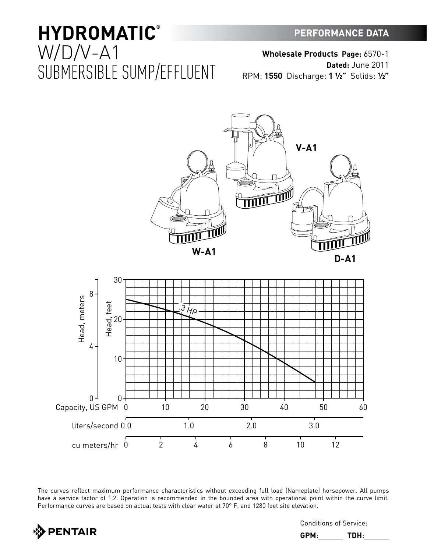# **PERFORMANCE DATA**

# **HYDROMATIC®** W/D/V-A1 SUBMERSIBLE SUMP/EFFLUENT

**Wholesale Products Page:** 6570-1 **Dated:** June 2011

RPM: **1550** Discharge: **1 ½"** Solids: **½"**



The curves reflect maximum performance characteristics without exceeding full load (Nameplate) horsepower. All pumps have a service factor of 1.2. Operation is recommended in the bounded area with operational point within the curve limit. Performance curves are based on actual tests with clear water at 70° F. and 1280 feet site elevation.



Conditions of Service:

**GPM**:\_\_\_\_\_\_ **TDH**:\_\_\_\_\_\_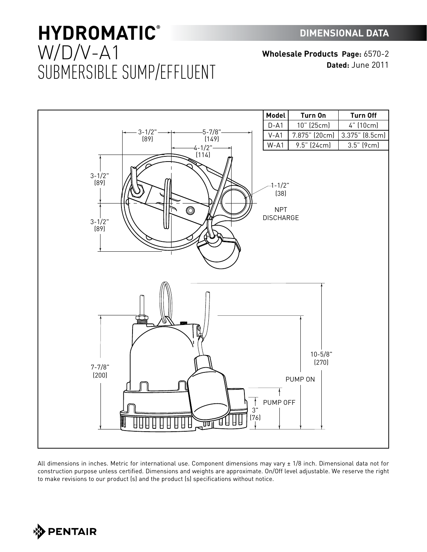# **HYDROMATIC®** W/D/V-A1 SUBMERSIBLE SUMP/EFFLUENT

**Wholesale Products Page:** 6570-2 **Dated:** June 2011



All dimensions in inches. Metric for international use. Component dimensions may vary ± 1/8 inch. Dimensional data not for construction purpose unless certified. Dimensions and weights are approximate. On/Off level adjustable. We reserve the right to make revisions to our product (s) and the product (s) specifications without notice.

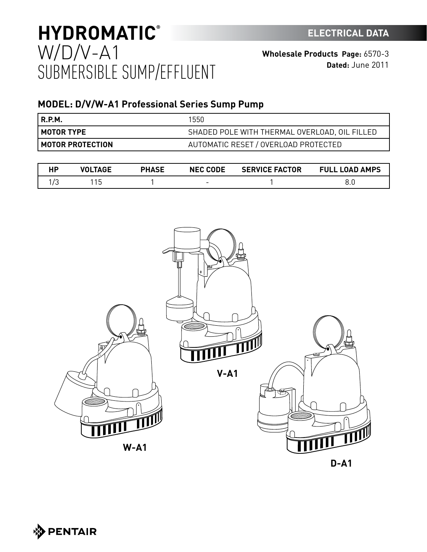# **HYDROMATIC ELECTRICAL DATA ®** W/D/V-A1 SUBMERSIBLE SUMP/EFFLUENT

# **MODEL: D/V/W-A1 Professional Series Sump Pump**

| R.P.M.                    | 1550                                          |
|---------------------------|-----------------------------------------------|
| I MOTOR TYPE              | SHADED POLE WITH THERMAL OVERLOAD, OIL FILLED |
| <b>I MOTOR PROTECTION</b> | AUTOMATIC RESET / OVERLOAD PROTECTED          |

| TAGF | <b>PHASE</b> | <b>NEC CODE</b>          | <b>SERVICE FACTOR</b> | <b>FULL LOAD AMPS</b> |
|------|--------------|--------------------------|-----------------------|-----------------------|
|      |              | $\overline{\phantom{0}}$ |                       |                       |



**D-A1**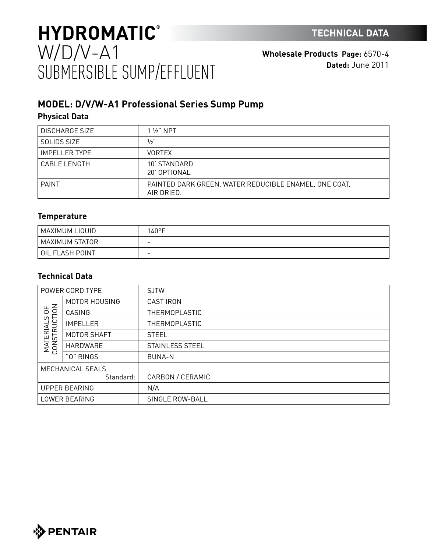# **HYDROMATIC TECHNICAL DATA ®** W/D/V-A1 SUBMERSIBLE SUMP/EFFLUENT

**Wholesale Products Page:** 6570-4 **Dated:** June 2011

# **MODEL: D/V/W-A1 Professional Series Sump Pump Physical Data**

| <b>DISCHARGE SIZE</b> | $1\frac{1}{2}$ " NPT                                                |
|-----------------------|---------------------------------------------------------------------|
| SOLIDS SIZE           | $1/2$ "                                                             |
| <b>IMPELLER TYPE</b>  | <b>VORTEX</b>                                                       |
| CABLE LENGTH          | 10' STANDARD<br>20' OPTIONAL                                        |
| <b>PAINT</b>          | PAINTED DARK GREEN, WATER REDUCIBLE ENAMEL, ONE COAT,<br>AIR DRIED. |

# **Temperature**

| MAXIMUM LIQUID  | 140°F                    |
|-----------------|--------------------------|
| MAXIMUM STATOR  | $\overline{\phantom{a}}$ |
| OIL FLASH POINT | $\overline{\phantom{0}}$ |

# **Technical Data**

| POWER CORD TYPE                                        |                 | <b>SJTW</b>          |
|--------------------------------------------------------|-----------------|----------------------|
| 50 <sup>2</sup><br>C)<br><b>MATERIALS</b><br>CONSTRUCT | MOTOR HOUSING   | <b>CAST IRON</b>     |
|                                                        | CASING          | <b>THERMOPLASTIC</b> |
|                                                        | <b>IMPELLER</b> | <b>THERMOPLASTIC</b> |
|                                                        | MOTOR SHAFT     | <b>STEEL</b>         |
|                                                        | HARDWARE        | STAINLESS STEEL      |
|                                                        | "O" RINGS       | <b>BUNA-N</b>        |
| MECHANICAL SEALS                                       |                 |                      |
|                                                        | Standard:       | CARBON / CERAMIC     |
| <b>UPPER BEARING</b>                                   |                 | N/A                  |
| LOWER BEARING                                          |                 | SINGLE ROW-BALL      |

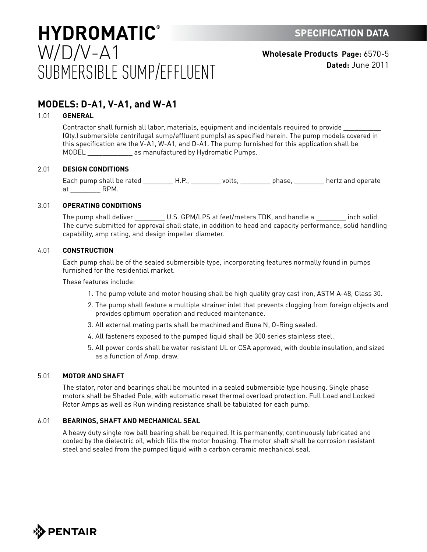# **HYDROMATIC SPECIFICATION DATA ®** W/D/V-A1 SUBMERSIBLE SUMP/EFFLUENT

**Wholesale Products Page:** 6570-5 **Dated:** June 2011

# **MODELS: D-A1, V-A1, and W-A1**

## 1.01 **GENERAL**

Contractor shall furnish all labor, materials, equipment and incidentals required to provide \_\_\_\_\_\_\_\_\_\_ (Qty.) submersible centrifugal sump/effluent pump(s) as specified herein. The pump models covered in this specification are the V-A1, W-A1, and D-A1. The pump furnished for this application shall be MODEL **All as manufactured by Hydromatic Pumps.** 

## 2.01 **DESIGN CONDITIONS**

Each pump shall be rated \_\_\_\_\_\_\_\_\_\_H.P., \_\_\_\_\_\_\_\_\_ volts, \_\_\_\_\_\_\_\_\_\_ phase, \_\_\_\_\_\_\_\_\_ hertz and operate at RPM.

## 3.01 **OPERATING CONDITIONS**

The pump shall deliver \_\_\_\_\_\_\_\_\_\_ U.S. GPM/LPS at feet/meters TDK, and handle a \_\_\_\_\_\_\_\_\_ inch solid. The curve submitted for approval shall state, in addition to head and capacity performance, solid handling capability, amp rating, and design impeller diameter.

### 4.01 **CONSTRUCTION**

Each pump shall be of the sealed submersible type, incorporating features normally found in pumps furnished for the residential market.

These features include:

- 1. The pump volute and motor housing shall be high quality gray cast iron, ASTM A-48, Class 30.
- 2. The pump shall feature a multiple strainer inlet that prevents clogging from foreign objects and provides optimum operation and reduced maintenance.
- 3. All external mating parts shall be machined and Buna N, O-Ring sealed.
- 4. All fasteners exposed to the pumped liquid shall be 300 series stainless steel.
- 5. All power cords shall be water resistant UL or CSA approved, with double insulation, and sized as a function of Amp. draw.

### 5.01 **MOTOR AND SHAFT**

The stator, rotor and bearings shall be mounted in a sealed submersible type housing. Single phase motors shall be Shaded Pole, with automatic reset thermal overload protection. Full Load and Locked Rotor Amps as well as Run winding resistance shall be tabulated for each pump.

## 6.01 **BEARINGS, SHAFT AND MECHANICAL SEAL**

A heavy duty single row ball bearing shall be required. It is permanently, continuously lubricated and cooled by the dielectric oil, which fills the motor housing. The motor shaft shall be corrosion resistant steel and sealed from the pumped liquid with a carbon ceramic mechanical seal.